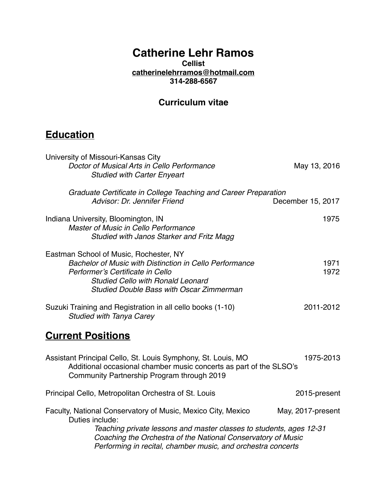# **Catherine Lehr Ramos**

#### **Cellist [catherinelehrramos@hotmail.com](mailto:catherinelehrramos@hotmail.com) 314-288-6567**

### **Curriculum vitae**

# **Education**

| University of Missouri-Kansas City<br>Doctor of Musical Arts in Cello Performance<br><b>Studied with Carter Enyeart</b>                                                                                                                                                                | May 13, 2016      |
|----------------------------------------------------------------------------------------------------------------------------------------------------------------------------------------------------------------------------------------------------------------------------------------|-------------------|
| Graduate Certificate in College Teaching and Career Preparation<br>Advisor: Dr. Jennifer Friend                                                                                                                                                                                        | December 15, 2017 |
| Indiana University, Bloomington, IN<br><b>Master of Music in Cello Performance</b><br>Studied with Janos Starker and Fritz Magg                                                                                                                                                        | 1975              |
| Eastman School of Music, Rochester, NY<br>Bachelor of Music with Distinction in Cello Performance<br>Performer's Certificate in Cello<br><b>Studied Cello with Ronald Leonard</b><br><b>Studied Double Bass with Oscar Zimmerman</b>                                                   | 1971<br>1972      |
| Suzuki Training and Registration in all cello books (1-10)<br><b>Studied with Tanya Carey</b>                                                                                                                                                                                          | 2011-2012         |
| <b>Current Positions</b>                                                                                                                                                                                                                                                               |                   |
| Assistant Principal Cello, St. Louis Symphony, St. Louis, MO<br>Additional occasional chamber music concerts as part of the SLSO's<br>Community Partnership Program through 2019                                                                                                       | 1975-2013         |
| Principal Cello, Metropolitan Orchestra of St. Louis                                                                                                                                                                                                                                   | 2015-present      |
| Faculty, National Conservatory of Music, Mexico City, Mexico<br>Duties include:<br>Teaching private lessons and master classes to students, ages 12-31<br>Coaching the Orchestra of the National Conservatory of Music<br>Performing in recital, chamber music, and orchestra concerts | May, 2017-present |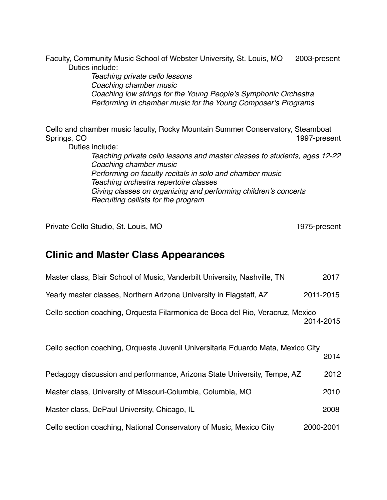Faculty, Community Music School of Webster University, St. Louis, MO 2003-present Duties include:

> *Teaching private cello lessons Coaching chamber music Coaching low strings for the Young People's Symphonic Orchestra Performing in chamber music for the Young Composer's Programs*

Cello and chamber music faculty, Rocky Mountain Summer Conservatory, Steamboat Springs, CO 1997-present Duties include: *Teaching private cello lessons and master classes to students, ages 12-22 Coaching chamber music Performing on faculty recitals in solo and chamber music Teaching orchestra repertoire classes Giving classes on organizing and performing children's concerts*

Private Cello Studio, St. Louis, MO 1975-present

### **Clinic and Master Class Appearances**

*Recruiting cellists for the program*

| Master class, Blair School of Music, Vanderbilt University, Nashville, TN        | 2017      |
|----------------------------------------------------------------------------------|-----------|
| Yearly master classes, Northern Arizona University in Flagstaff, AZ              | 2011-2015 |
| Cello section coaching, Orquesta Filarmonica de Boca del Rio, Veracruz, Mexico   | 2014-2015 |
| Cello section coaching, Orquesta Juvenil Universitaria Eduardo Mata, Mexico City | 2014      |
| Pedagogy discussion and performance, Arizona State University, Tempe, AZ         | 2012      |
| Master class, University of Missouri-Columbia, Columbia, MO                      | 2010      |
| Master class, DePaul University, Chicago, IL                                     | 2008      |
| Cello section coaching, National Conservatory of Music, Mexico City              | 2000-2001 |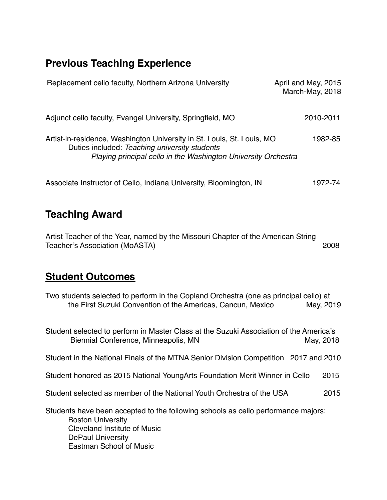# **Previous Teaching Experience**

| Replacement cello faculty, Northern Arizona University                                                                                                                                    | April and May, 2015<br>March-May, 2018 |
|-------------------------------------------------------------------------------------------------------------------------------------------------------------------------------------------|----------------------------------------|
| Adjunct cello faculty, Evangel University, Springfield, MO                                                                                                                                | 2010-2011                              |
| Artist-in-residence, Washington University in St. Louis, St. Louis, MO<br>Duties included: Teaching university students<br>Playing principal cello in the Washington University Orchestra | 1982-85                                |
| Associate Instructor of Cello, Indiana University, Bloomington, IN                                                                                                                        | 1972-74                                |

## **Teaching Award**

Artist Teacher of the Year, named by the Missouri Chapter of the American String Teacher's Association (MoASTA) 2008

## **Student Outcomes**

| Two students selected to perform in the Copland Orchestra (one as principal cello) at |           |
|---------------------------------------------------------------------------------------|-----------|
| the First Suzuki Convention of the Americas, Cancun, Mexico                           | May, 2019 |

Student selected to perform in Master Class at the Suzuki Association of the America's Biennial Conference, Minneapolis, MN May, 2018 Student in the National Finals of the MTNA Senior Division Competition 2017 and 2010 Student honored as 2015 National YoungArts Foundation Merit Winner in Cello 2015 Student selected as member of the National Youth Orchestra of the USA 2015 Students have been accepted to the following schools as cello performance majors: Boston University Cleveland Institute of Music DePaul University Eastman School of Music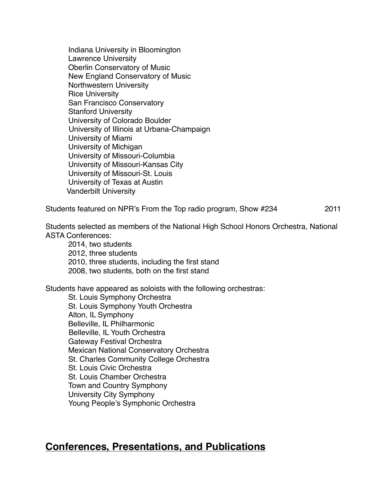Indiana University in Bloomington Lawrence University Oberlin Conservatory of Music New England Conservatory of Music Northwestern University Rice University San Francisco Conservatory Stanford University University of Colorado Boulder University of Illinois at Urbana-Champaign University of Miami University of Michigan University of Missouri-Columbia University of Missouri-Kansas City University of Missouri-St. Louis University of Texas at Austin Vanderbilt University

Students featured on NPR's From the Top radio program, Show #234 2011

Students selected as members of the National High School Honors Orchestra, National ASTA Conferences:

2014, two students 2012, three students 2010, three students, including the first stand 2008, two students, both on the first stand

Students have appeared as soloists with the following orchestras:

St. Louis Symphony Orchestra St. Louis Symphony Youth Orchestra Alton, IL Symphony Belleville, IL Philharmonic Belleville, IL Youth Orchestra Gateway Festival Orchestra Mexican National Conservatory Orchestra St. Charles Community College Orchestra St. Louis Civic Orchestra St. Louis Chamber Orchestra Town and Country Symphony University City Symphony Young People's Symphonic Orchestra

### **Conferences, Presentations, and Publications**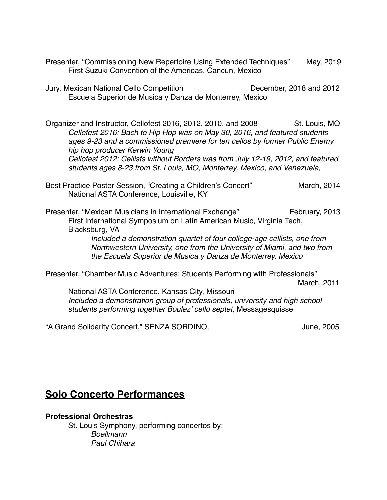Presenter, "Commissioning New Repertoire Using Extended Techniques" May, 2019 First Suzuki Convention of the Americas, Cancun, Mexico

Jury, Mexican National Cello Competition December, 2018 and 2012 Escuela Superior de Musica y Danza de Monterrey, Mexico

Organizer and Instructor, Cellofest 2016, 2012, 2010, and 2008 St. Louis, MO *Cellofest 2016: Bach to Hip Hop was on May 30, 2016, and featured students ages 9-23 and a commissioned premiere for ten cellos by former Public Enemy hip hop producer Kerwin Young Cellofest 2012: Cellists without Borders was from July 12-19, 2012, and featured students ages 8-23 from St. Louis, MO, Monterrey, Mexico, and Venezuela,*

Best Practice Poster Session, "Creating a Children's Concert" March, 2014 National ASTA Conference, Louisville, KY

Presenter, "Mexican Musicians in International Exchange" February, 2013 First International Symposium on Latin American Music, Virginia Tech, Blacksburg, VA *Included a demonstration quartet of four college-age cellists, one from Northwestern University, one from the University of Miami, and two from the Escuela Superior de Musica y Danza de Monterrey, Mexico*

Presenter, "Chamber Music Adventures: Students Performing with Professionals" March, 2011

National ASTA Conference, Kansas City, Missouri *Included a demonstration group of professionals, university and high school students performing together Boulez' cello septet,* Messagesquisse

"A Grand Solidarity Concert," SENZA SORDINO, The Concerty Sensitive Service Concerters and Sume, 2005

### **Solo Concerto Performances**

**Professional Orchestras**

St. Louis Symphony, performing concertos by: *Boellmann Paul Chihara*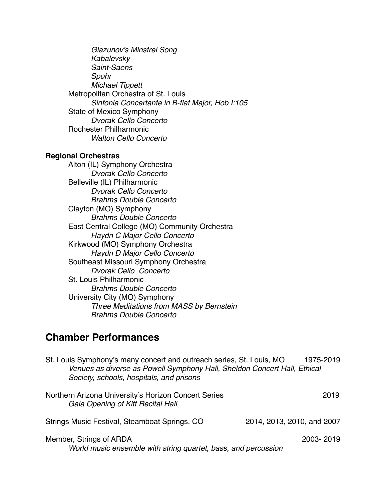*Glazunov's Minstrel Song Kabalevsky Saint-Saens Spohr Michael Tippett* Metropolitan Orchestra of St. Louis *Sinfonia Concertante in B-flat Major, Hob I:105* State of Mexico Symphony *Dvorak Cello Concerto* Rochester Philharmonic *Walton Cello Concerto*

#### **Regional Orchestras**

Alton (IL) Symphony Orchestra *Dvorak Cello Concerto* Belleville (IL) Philharmonic *Dvorak Cello Concerto Brahms Double Concerto* Clayton (MO) Symphony *Brahms Double Concerto* East Central College (MO) Community Orchestra *Haydn C Major Cello Concerto* Kirkwood (MO) Symphony Orchestra *Haydn D Major Cello Concerto* Southeast Missouri Symphony Orchestra *Dvorak Cello Concerto* St. Louis Philharmonic *Brahms Double Concerto* University City (MO) Symphony *Three Meditations from MASS by Bernstein Brahms Double Concerto*

### **Chamber Performances**

| St. Louis Symphony's many concert and outreach series, St. Louis, MO<br>Venues as diverse as Powell Symphony Hall, Sheldon Concert Hall, Ethical<br>Society, schools, hospitals, and prisons | 1975-2019                  |
|----------------------------------------------------------------------------------------------------------------------------------------------------------------------------------------------|----------------------------|
| Northern Arizona University's Horizon Concert Series<br>Gala Opening of Kitt Recital Hall                                                                                                    | 2019                       |
| Strings Music Festival, Steamboat Springs, CO                                                                                                                                                | 2014, 2013, 2010, and 2007 |
| Member, Strings of ARDA<br>World music ensemble with string quartet, bass, and percussion                                                                                                    | 2003-2019                  |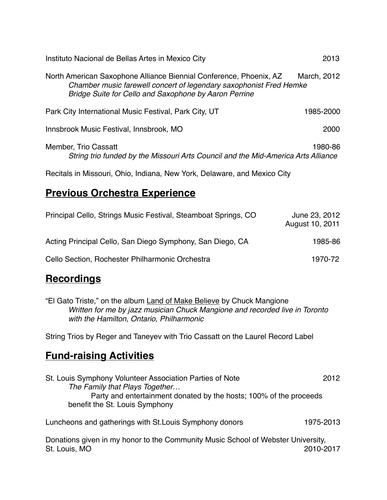| Instituto Nacional de Bellas Artes in Mexico City                                                                                                                                                 | 2013        |
|---------------------------------------------------------------------------------------------------------------------------------------------------------------------------------------------------|-------------|
| North American Saxophone Alliance Biennial Conference, Phoenix, AZ<br>Chamber music farewell concert of legendary saxophonist Fred Hemke<br>Bridge Suite for Cello and Saxophone by Aaron Perrine | March, 2012 |
| Park City International Music Festival, Park City, UT                                                                                                                                             | 1985-2000   |
| Innsbrook Music Festival, Innsbrook, MO                                                                                                                                                           | 2000        |
| Member, Trio Cassatt<br>String trio funded by the Missouri Arts Council and the Mid-America Arts Alliance                                                                                         | 1980-86     |
| Recitals in Missouri, Ohio, Indiana, New York, Delaware, and Mexico City                                                                                                                          |             |

# **Previous Orchestra Experience**

| Principal Cello, Strings Music Festival, Steamboat Springs, CO | June 23, 2012<br>August 10, 2011 |  |
|----------------------------------------------------------------|----------------------------------|--|
| Acting Principal Cello, San Diego Symphony, San Diego, CA      | 1985-86                          |  |
| Cello Section, Rochester Philharmonic Orchestra                | 1970-72                          |  |

## **Recordings**

"El Gato Triste," on the album Land of Make Believe by Chuck Mangione *Written for me by jazz musician Chuck Mangione and recorded live in Toronto with the Hamilton, Ontario, Philharmonic*

String Trios by Reger and Taneyev with Trio Cassatt on the Laurel Record Label

## **Fund-raising Activities**

| St. Louis Symphony Volunteer Association Parties of Note           | 2012      |
|--------------------------------------------------------------------|-----------|
| The Family that Plays Together                                     |           |
| Party and entertainment donated by the hosts; 100% of the proceeds |           |
| benefit the St. Louis Symphony                                     |           |
| Luncheons and gatherings with St. Louis Symphony donors            | 1975-2013 |
|                                                                    |           |

Donations given in my honor to the Community Music School of Webster University, St. Louis, MO